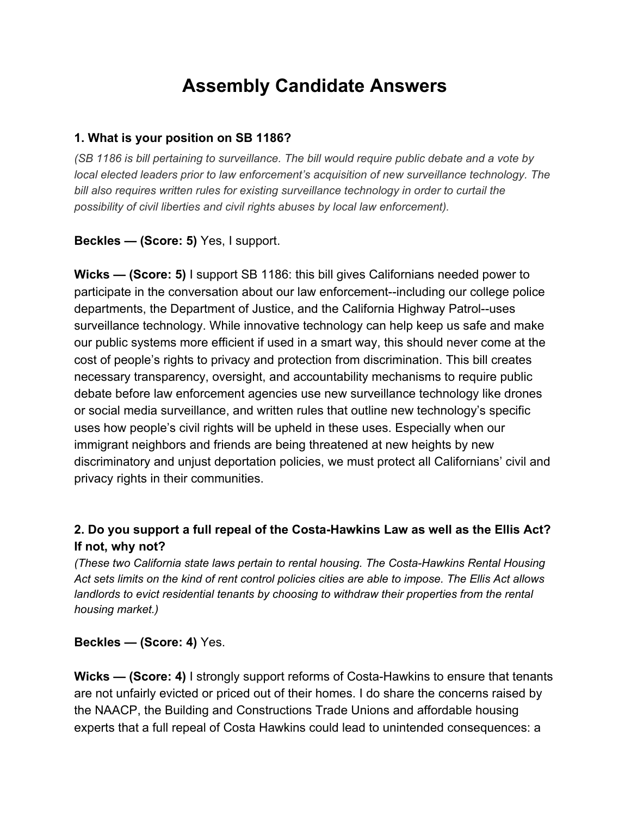# **Assembly Candidate Answers**

#### **1. What is your position on SB 1186?**

*(SB 1186 is bill pertaining to surveillance. The bill would require public debate and a vote by local elected leaders prior to law enforcement's acquisition of new surveillance technology. The bill also requires written rules for existing surveillance technology in order to curtail the possibility of civil liberties and civil rights abuses by local law enforcement).*

**Beckles — (Score: 5)** Yes, I support.

**Wicks — (Score: 5)** I support SB 1186: this bill gives Californians needed power to participate in the conversation about our law enforcement--including our college police departments, the Department of Justice, and the California Highway Patrol--uses surveillance technology. While innovative technology can help keep us safe and make our public systems more efficient if used in a smart way, this should never come at the cost of people's rights to privacy and protection from discrimination. This bill creates necessary transparency, oversight, and accountability mechanisms to require public debate before law enforcement agencies use new surveillance technology like drones or social media surveillance, and written rules that outline new technology's specific uses how people's civil rights will be upheld in these uses. Especially when our immigrant neighbors and friends are being threatened at new heights by new discriminatory and unjust deportation policies, we must protect all Californians' civil and privacy rights in their communities.

### **2. Do you support a full repeal of the Costa-Hawkins Law as well as the Ellis Act? If not, why not?**

*(These two California state laws pertain to rental housing. The Costa-Hawkins Rental Housing* Act sets limits on the kind of rent control policies cities are able to impose. The Ellis Act allows *landlords to evict residential tenants by choosing to withdraw their properties from the rental housing market.)*

**Beckles — (Score: 4)** Yes.

**Wicks — (Score: 4)** I strongly support reforms of Costa-Hawkins to ensure that tenants are not unfairly evicted or priced out of their homes. I do share the concerns raised by the NAACP, the Building and Constructions Trade Unions and affordable housing experts that a full repeal of Costa Hawkins could lead to unintended consequences: a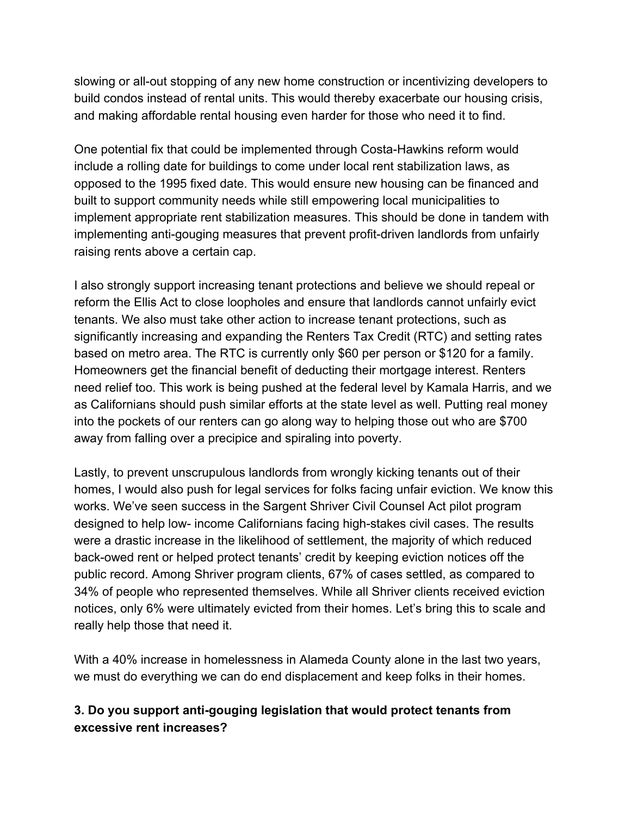slowing or all-out stopping of any new home construction or incentivizing developers to build condos instead of rental units. This would thereby exacerbate our housing crisis, and making affordable rental housing even harder for those who need it to find.

One potential fix that could be implemented through Costa-Hawkins reform would include a rolling date for buildings to come under local rent stabilization laws, as opposed to the 1995 fixed date. This would ensure new housing can be financed and built to support community needs while still empowering local municipalities to implement appropriate rent stabilization measures. This should be done in tandem with implementing anti-gouging measures that prevent profit-driven landlords from unfairly raising rents above a certain cap.

I also strongly support increasing tenant protections and believe we should repeal or reform the Ellis Act to close loopholes and ensure that landlords cannot unfairly evict tenants. We also must take other action to increase tenant protections, such as significantly increasing and expanding the Renters Tax Credit (RTC) and setting rates based on metro area. The RTC is currently only \$60 per person or \$120 for a family. Homeowners get the financial benefit of deducting their mortgage interest. Renters need relief too. This work is being pushed at the federal level by Kamala Harris, and we as Californians should push similar efforts at the state level as well. Putting real money into the pockets of our renters can go along way to helping those out who are \$700 away from falling over a precipice and spiraling into poverty.

Lastly, to prevent unscrupulous landlords from wrongly kicking tenants out of their homes, I would also push for legal services for folks facing unfair eviction. We know this works. We've seen success in the Sargent Shriver Civil Counsel Act pilot program designed to help low- income Californians facing high-stakes civil cases. The results were a drastic increase in the likelihood of settlement, the majority of which reduced back-owed rent or helped protect tenants' credit by keeping eviction notices off the public record. Among Shriver program clients, 67% of cases settled, as compared to 34% of people who represented themselves. While all Shriver clients received eviction notices, only 6% were ultimately evicted from their homes. Let's bring this to scale and really help those that need it.

With a 40% increase in homelessness in Alameda County alone in the last two years, we must do everything we can do end displacement and keep folks in their homes.

### **3. Do you support anti-gouging legislation that would protect tenants from excessive rent increases?**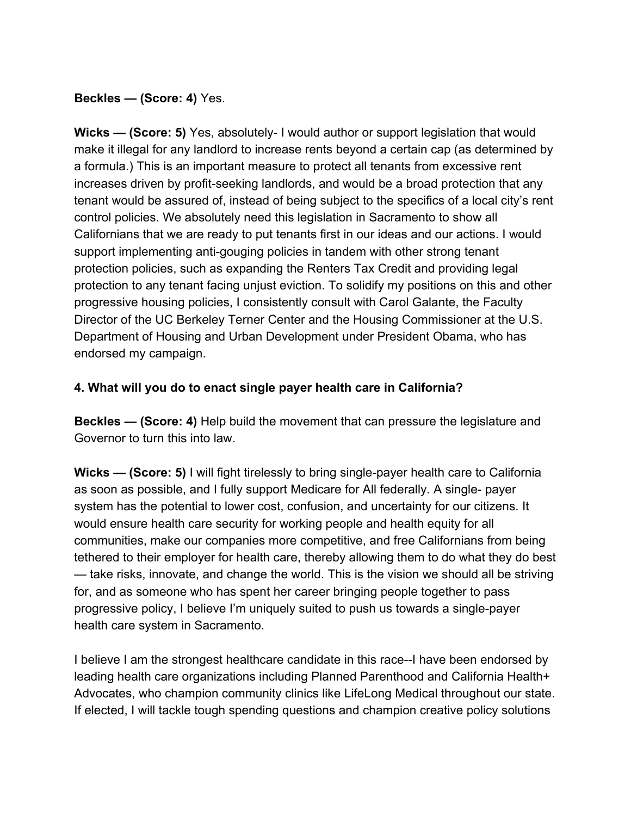**Beckles — (Score: 4)** Yes.

**Wicks — (Score: 5)** Yes, absolutely- I would author or support legislation that would make it illegal for any landlord to increase rents beyond a certain cap (as determined by a formula.) This is an important measure to protect all tenants from excessive rent increases driven by profit-seeking landlords, and would be a broad protection that any tenant would be assured of, instead of being subject to the specifics of a local city's rent control policies. We absolutely need this legislation in Sacramento to show all Californians that we are ready to put tenants first in our ideas and our actions. I would support implementing anti-gouging policies in tandem with other strong tenant protection policies, such as expanding the Renters Tax Credit and providing legal protection to any tenant facing unjust eviction. To solidify my positions on this and other progressive housing policies, I consistently consult with Carol Galante, the Faculty Director of the UC Berkeley Terner Center and the Housing Commissioner at the U.S. Department of Housing and Urban Development under President Obama, who has endorsed my campaign.

### **4. What will you do to enact single payer health care in California?**

**Beckles — (Score: 4)** Help build the movement that can pressure the legislature and Governor to turn this into law.

**Wicks — (Score: 5)** I will fight tirelessly to bring single-payer health care to California as soon as possible, and I fully support Medicare for All federally. A single- payer system has the potential to lower cost, confusion, and uncertainty for our citizens. It would ensure health care security for working people and health equity for all communities, make our companies more competitive, and free Californians from being tethered to their employer for health care, thereby allowing them to do what they do best — take risks, innovate, and change the world. This is the vision we should all be striving for, and as someone who has spent her career bringing people together to pass progressive policy, I believe I'm uniquely suited to push us towards a single-payer health care system in Sacramento.

I believe I am the strongest healthcare candidate in this race--I have been endorsed by leading health care organizations including Planned Parenthood and California Health+ Advocates, who champion community clinics like LifeLong Medical throughout our state. If elected, I will tackle tough spending questions and champion creative policy solutions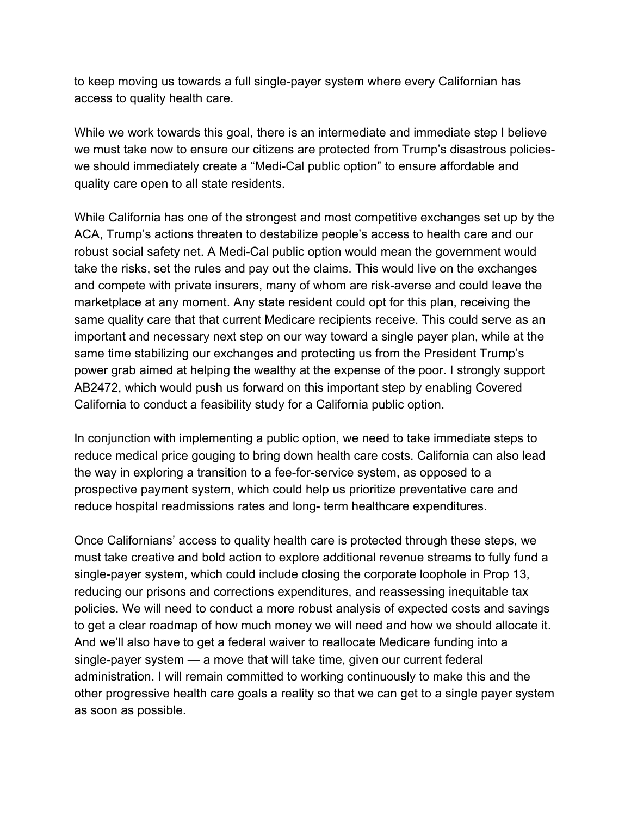to keep moving us towards a full single-payer system where every Californian has access to quality health care.

While we work towards this goal, there is an intermediate and immediate step I believe we must take now to ensure our citizens are protected from Trump's disastrous policieswe should immediately create a "Medi-Cal public option" to ensure affordable and quality care open to all state residents.

While California has one of the strongest and most competitive exchanges set up by the ACA, Trump's actions threaten to destabilize people's access to health care and our robust social safety net. A Medi-Cal public option would mean the government would take the risks, set the rules and pay out the claims. This would live on the exchanges and compete with private insurers, many of whom are risk-averse and could leave the marketplace at any moment. Any state resident could opt for this plan, receiving the same quality care that that current Medicare recipients receive. This could serve as an important and necessary next step on our way toward a single payer plan, while at the same time stabilizing our exchanges and protecting us from the President Trump's power grab aimed at helping the wealthy at the expense of the poor. I strongly support AB2472, which would push us forward on this important step by enabling Covered California to conduct a feasibility study for a California public option.

In conjunction with implementing a public option, we need to take immediate steps to reduce medical price gouging to bring down health care costs. California can also lead the way in exploring a transition to a fee-for-service system, as opposed to a prospective payment system, which could help us prioritize preventative care and reduce hospital readmissions rates and long- term healthcare expenditures.

Once Californians' access to quality health care is protected through these steps, we must take creative and bold action to explore additional revenue streams to fully fund a single-payer system, which could include closing the corporate loophole in Prop 13, reducing our prisons and corrections expenditures, and reassessing inequitable tax policies. We will need to conduct a more robust analysis of expected costs and savings to get a clear roadmap of how much money we will need and how we should allocate it. And we'll also have to get a federal waiver to reallocate Medicare funding into a single-payer system — a move that will take time, given our current federal administration. I will remain committed to working continuously to make this and the other progressive health care goals a reality so that we can get to a single payer system as soon as possible.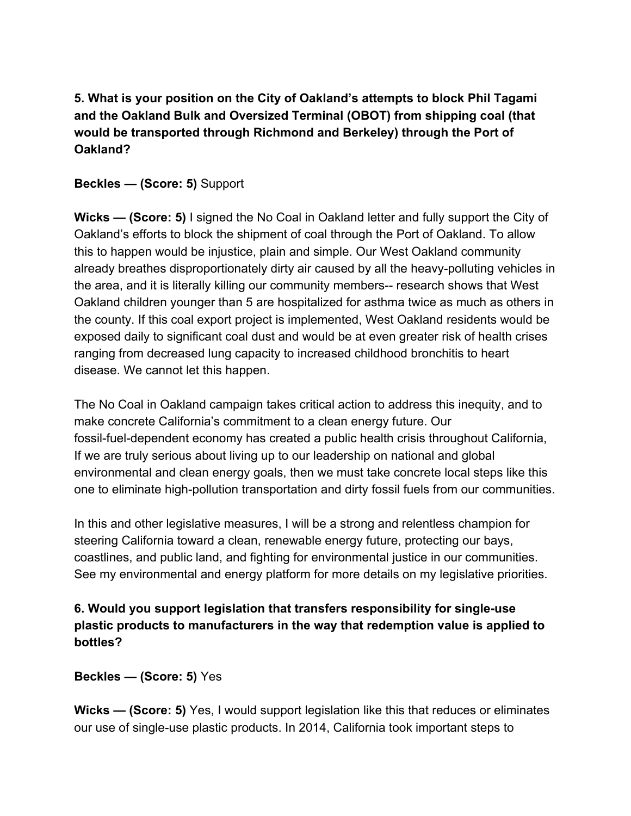**5. What is your position on the City of Oakland's attempts to block Phil Tagami and the Oakland Bulk and Oversized Terminal (OBOT) from shipping coal (that would be transported through Richmond and Berkeley) through the Port of Oakland?**

**Beckles — (Score: 5)** Support

**Wicks — (Score: 5)** I signed the No Coal in Oakland letter and fully support the City of Oakland's efforts to block the shipment of coal through the Port of Oakland. To allow this to happen would be injustice, plain and simple. Our West Oakland community already breathes disproportionately dirty air caused by all the heavy-polluting vehicles in the area, and it is literally killing our community members-- research shows that West Oakland children younger than 5 are hospitalized for asthma twice as much as others in the county. If this coal export project is implemented, West Oakland residents would be exposed daily to significant coal dust and would be at even greater risk of health crises ranging from decreased lung capacity to increased childhood bronchitis to heart disease. We cannot let this happen.

The No Coal in Oakland campaign takes critical action to address this inequity, and to make concrete California's commitment to a clean energy future. Our fossil-fuel-dependent economy has created a public health crisis throughout California, If we are truly serious about living up to our leadership on national and global environmental and clean energy goals, then we must take concrete local steps like this one to eliminate high-pollution transportation and dirty fossil fuels from our communities.

In this and other legislative measures, I will be a strong and relentless champion for steering California toward a clean, renewable energy future, protecting our bays, coastlines, and public land, and fighting for environmental justice in our communities. See my environmental and energy platform for more details on my legislative priorities.

### **6. Would you support legislation that transfers responsibility for single-use plastic products to manufacturers in the way that redemption value is applied to bottles?**

**Beckles — (Score: 5)** Yes

**Wicks — (Score: 5)** Yes, I would support legislation like this that reduces or eliminates our use of single-use plastic products. In 2014, California took important steps to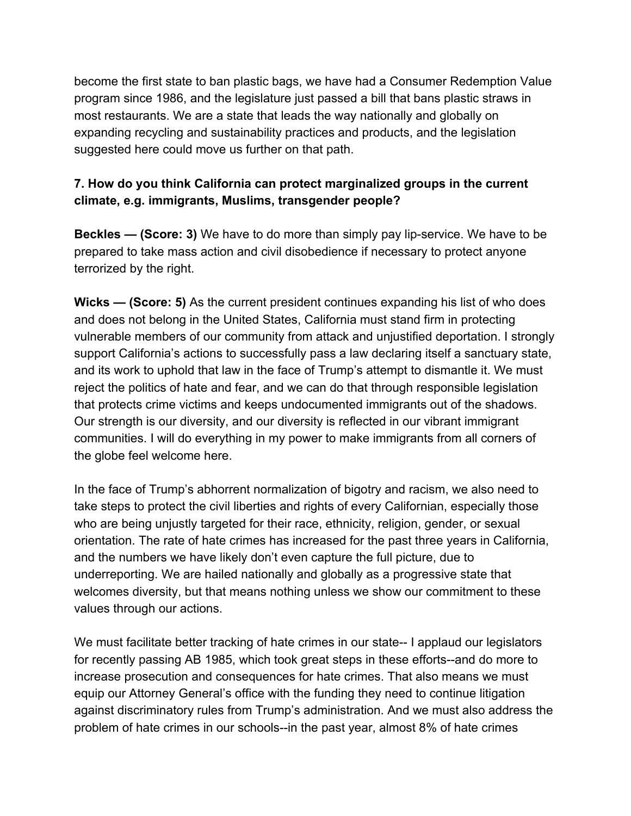become the first state to ban plastic bags, we have had a Consumer Redemption Value program since 1986, and the legislature just passed a bill that bans plastic straws in most restaurants. We are a state that leads the way nationally and globally on expanding recycling and sustainability practices and products, and the legislation suggested here could move us further on that path.

### **7. How do you think California can protect marginalized groups in the current climate, e.g. immigrants, Muslims, transgender people?**

**Beckles — (Score: 3)** We have to do more than simply pay lip-service. We have to be prepared to take mass action and civil disobedience if necessary to protect anyone terrorized by the right.

**Wicks — (Score: 5)** As the current president continues expanding his list of who does and does not belong in the United States, California must stand firm in protecting vulnerable members of our community from attack and unjustified deportation. I strongly support California's actions to successfully pass a law declaring itself a sanctuary state, and its work to uphold that law in the face of Trump's attempt to dismantle it. We must reject the politics of hate and fear, and we can do that through responsible legislation that protects crime victims and keeps undocumented immigrants out of the shadows. Our strength is our diversity, and our diversity is reflected in our vibrant immigrant communities. I will do everything in my power to make immigrants from all corners of the globe feel welcome here.

In the face of Trump's abhorrent normalization of bigotry and racism, we also need to take steps to protect the civil liberties and rights of every Californian, especially those who are being unjustly targeted for their race, ethnicity, religion, gender, or sexual orientation. The rate of hate crimes has increased for the past three years in California, and the numbers we have likely don't even capture the full picture, due to underreporting. We are hailed nationally and globally as a progressive state that welcomes diversity, but that means nothing unless we show our commitment to these values through our actions.

We must facilitate better tracking of hate crimes in our state-- I applaud our legislators for recently passing AB 1985, which took great steps in these efforts--and do more to increase prosecution and consequences for hate crimes. That also means we must equip our Attorney General's office with the funding they need to continue litigation against discriminatory rules from Trump's administration. And we must also address the problem of hate crimes in our schools--in the past year, almost 8% of hate crimes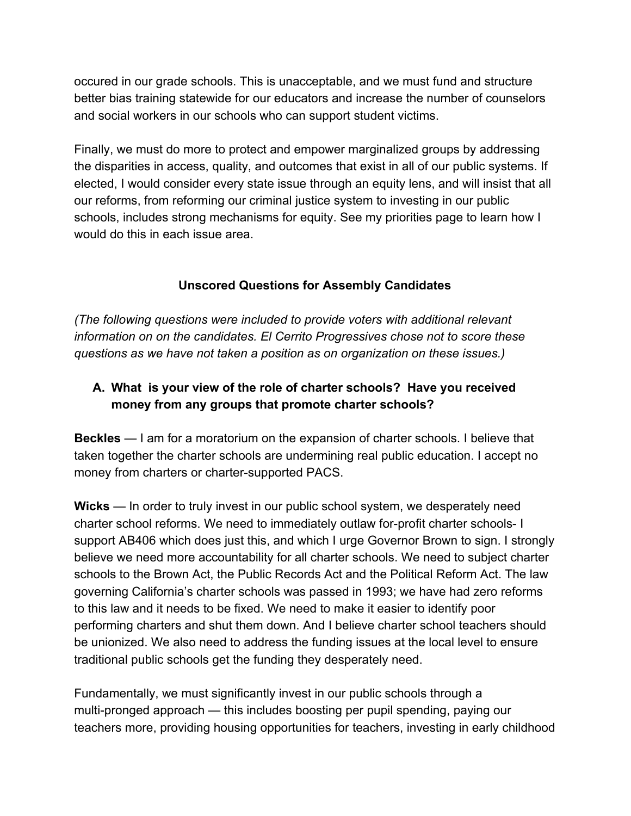occured in our grade schools. This is unacceptable, and we must fund and structure better bias training statewide for our educators and increase the number of counselors and social workers in our schools who can support student victims.

Finally, we must do more to protect and empower marginalized groups by addressing the disparities in access, quality, and outcomes that exist in all of our public systems. If elected, I would consider every state issue through an equity lens, and will insist that all our reforms, from reforming our criminal justice system to investing in our public schools, includes strong mechanisms for equity. See my priorities page to learn how I would do this in each issue area.

### **Unscored Questions for Assembly Candidates**

*(The following questions were included to provide voters with additional relevant information on on the candidates. El Cerrito Progressives chose not to score these questions as we have not taken a position as on organization on these issues.)*

# **A. What is your view of the role of charter schools? Have you received money from any groups that promote charter schools?**

**Beckles** — I am for a moratorium on the expansion of charter schools. I believe that taken together the charter schools are undermining real public education. I accept no money from charters or charter-supported PACS.

**Wicks** — In order to truly invest in our public school system, we desperately need charter school reforms. We need to immediately outlaw for-profit charter schools- I support AB406 which does just this, and which I urge Governor Brown to sign. I strongly believe we need more accountability for all charter schools. We need to subject charter schools to the Brown Act, the Public Records Act and the Political Reform Act. The law governing California's charter schools was passed in 1993; we have had zero reforms to this law and it needs to be fixed. We need to make it easier to identify poor performing charters and shut them down. And I believe charter school teachers should be unionized. We also need to address the funding issues at the local level to ensure traditional public schools get the funding they desperately need.

Fundamentally, we must significantly invest in our public schools through a multi-pronged approach — this includes boosting per pupil spending, paying our teachers more, providing housing opportunities for teachers, investing in early childhood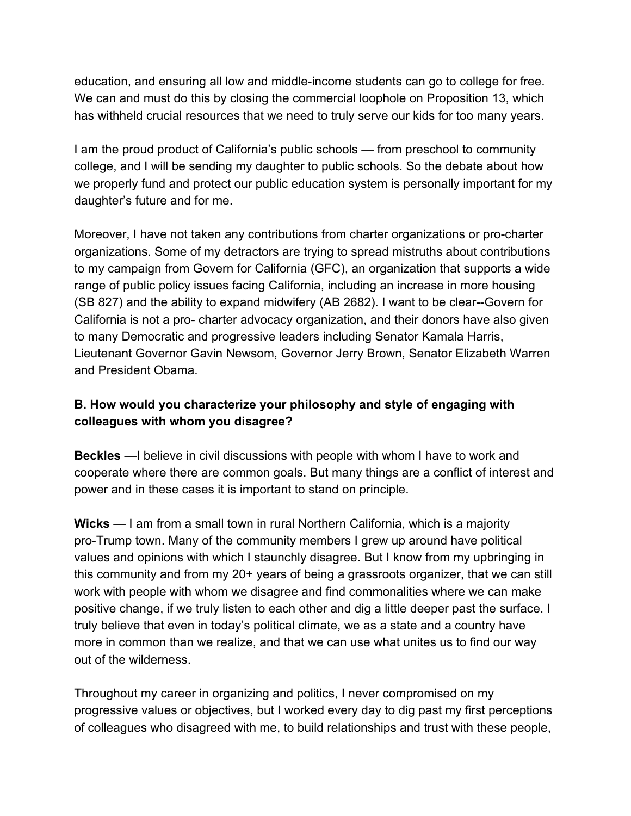education, and ensuring all low and middle-income students can go to college for free. We can and must do this by closing the commercial loophole on Proposition 13, which has withheld crucial resources that we need to truly serve our kids for too many years.

I am the proud product of California's public schools — from preschool to community college, and I will be sending my daughter to public schools. So the debate about how we properly fund and protect our public education system is personally important for my daughter's future and for me.

Moreover, I have not taken any contributions from charter organizations or pro-charter organizations. Some of my detractors are trying to spread mistruths about contributions to my campaign from Govern for California (GFC), an organization that supports a wide range of public policy issues facing California, including an increase in more housing (SB 827) and the ability to expand midwifery (AB 2682). I want to be clear--Govern for California is not a pro- charter advocacy organization, and their donors have also given to many Democratic and progressive leaders including Senator Kamala Harris, Lieutenant Governor Gavin Newsom, Governor Jerry Brown, Senator Elizabeth Warren and President Obama.

## **B. How would you characterize your philosophy and style of engaging with colleagues with whom you disagree?**

**Beckles** —I believe in civil discussions with people with whom I have to work and cooperate where there are common goals. But many things are a conflict of interest and power and in these cases it is important to stand on principle.

**Wicks** — I am from a small town in rural Northern California, which is a majority pro-Trump town. Many of the community members I grew up around have political values and opinions with which I staunchly disagree. But I know from my upbringing in this community and from my 20+ years of being a grassroots organizer, that we can still work with people with whom we disagree and find commonalities where we can make positive change, if we truly listen to each other and dig a little deeper past the surface. I truly believe that even in today's political climate, we as a state and a country have more in common than we realize, and that we can use what unites us to find our way out of the wilderness.

Throughout my career in organizing and politics, I never compromised on my progressive values or objectives, but I worked every day to dig past my first perceptions of colleagues who disagreed with me, to build relationships and trust with these people,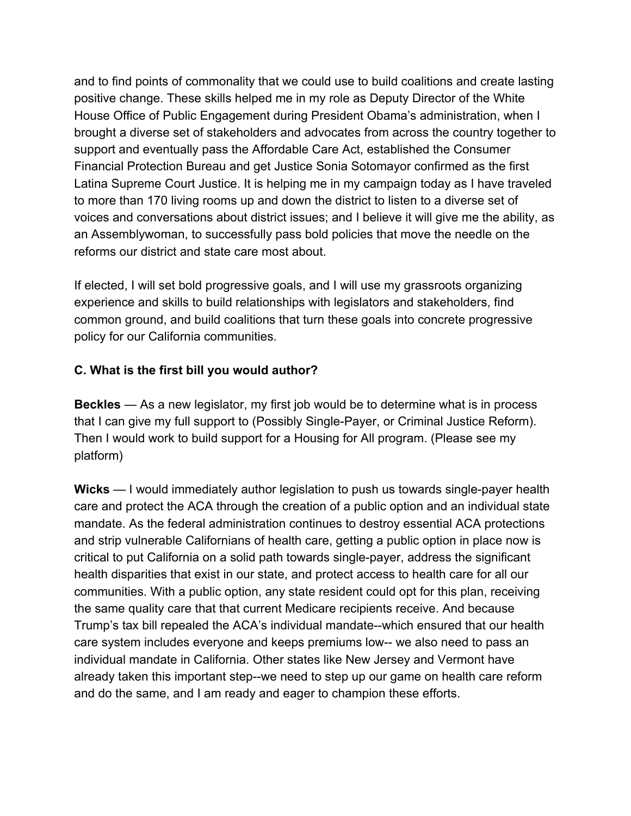and to find points of commonality that we could use to build coalitions and create lasting positive change. These skills helped me in my role as Deputy Director of the White House Office of Public Engagement during President Obama's administration, when I brought a diverse set of stakeholders and advocates from across the country together to support and eventually pass the Affordable Care Act, established the Consumer Financial Protection Bureau and get Justice Sonia Sotomayor confirmed as the first Latina Supreme Court Justice. It is helping me in my campaign today as I have traveled to more than 170 living rooms up and down the district to listen to a diverse set of voices and conversations about district issues; and I believe it will give me the ability, as an Assemblywoman, to successfully pass bold policies that move the needle on the reforms our district and state care most about.

If elected, I will set bold progressive goals, and I will use my grassroots organizing experience and skills to build relationships with legislators and stakeholders, find common ground, and build coalitions that turn these goals into concrete progressive policy for our California communities.

### **C. What is the first bill you would author?**

**Beckles** — As a new legislator, my first job would be to determine what is in process that I can give my full support to (Possibly Single-Payer, or Criminal Justice Reform). Then I would work to build support for a Housing for All program. (Please see my platform)

**Wicks** — I would immediately author legislation to push us towards single-payer health care and protect the ACA through the creation of a public option and an individual state mandate. As the federal administration continues to destroy essential ACA protections and strip vulnerable Californians of health care, getting a public option in place now is critical to put California on a solid path towards single-payer, address the significant health disparities that exist in our state, and protect access to health care for all our communities. With a public option, any state resident could opt for this plan, receiving the same quality care that that current Medicare recipients receive. And because Trump's tax bill repealed the ACA's individual mandate--which ensured that our health care system includes everyone and keeps premiums low-- we also need to pass an individual mandate in California. Other states like New Jersey and Vermont have already taken this important step--we need to step up our game on health care reform and do the same, and I am ready and eager to champion these efforts.